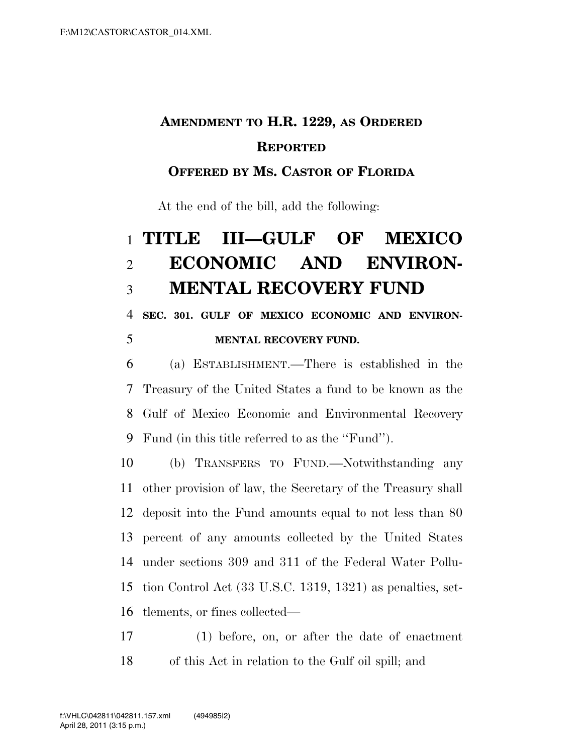## **AMENDMENT TO H.R. 1229, AS ORDERED REPORTED**

## **OFFERED BY MS. CASTOR OF FLORIDA**

At the end of the bill, add the following:

## **TITLE III—GULF OF MEXICO ECONOMIC AND ENVIRON-MENTAL RECOVERY FUND**

 **SEC. 301. GULF OF MEXICO ECONOMIC AND ENVIRON-MENTAL RECOVERY FUND.** 

 (a) ESTABLISHMENT.—There is established in the Treasury of the United States a fund to be known as the Gulf of Mexico Economic and Environmental Recovery Fund (in this title referred to as the ''Fund'').

 (b) TRANSFERS TO FUND.—Notwithstanding any other provision of law, the Secretary of the Treasury shall deposit into the Fund amounts equal to not less than 80 percent of any amounts collected by the United States under sections 309 and 311 of the Federal Water Pollu- tion Control Act (33 U.S.C. 1319, 1321) as penalties, set-tlements, or fines collected—

 (1) before, on, or after the date of enactment of this Act in relation to the Gulf oil spill; and